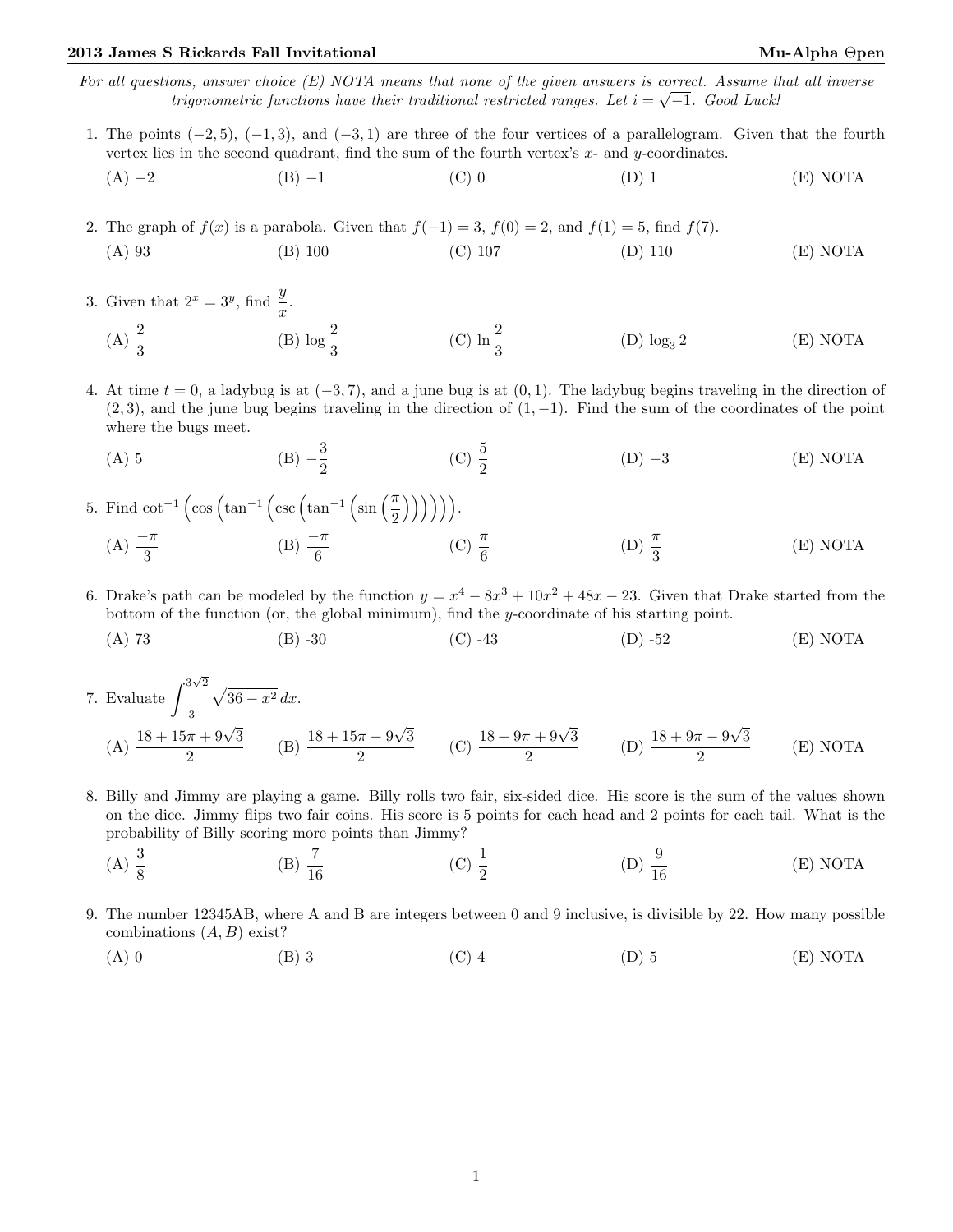For all questions, answer choice  $(E)$  NOTA means that none of the given answers is correct. Assume that all inverse trigonometric functions have their traditional restricted ranges. Let  $i = \sqrt{-1}$ . Good Luck!

- 1. The points (−2, 5), (−1, 3), and (−3, 1) are three of the four vertices of a parallelogram. Given that the fourth vertex lies in the second quadrant, find the sum of the fourth vertex's  $x$ - and  $y$ -coordinates.
	- (A) −2 (B) −1 (C) 0 (D) 1 (E) NOTA

2. The graph of  $f(x)$  is a parabola. Given that  $f(-1) = 3$ ,  $f(0) = 2$ , and  $f(1) = 5$ , find  $f(7)$ . (A) 93 (B) 100 (C) 107 (D) 110 (E) NOTA

3. Given that  $2^x = 3^y$ , find  $\frac{y}{x}$ . (A)  $\frac{2}{3}$ (B)  $\log \frac{2}{3}$ (C)  $\ln \frac{2}{3}$ (D)  $\log_3 2$  (E) NOTA

4. At time  $t = 0$ , a ladybug is at  $(-3, 7)$ , and a june bug is at  $(0, 1)$ . The ladybug begins traveling in the direction of  $(2, 3)$ , and the june bug begins traveling in the direction of  $(1, -1)$ . Find the sum of the coordinates of the point where the bugs meet.

- (A) 5 (B)  $-\frac{3}{3}$ 2 (C)  $\frac{5}{2}$  $(D) -3$  (E) NOTA
- 5. Find  $\cot^{-1} \left( \cos \left( \tan^{-1} \left( \csc \left( \tan^{-1} \left( \sin \left( \frac{\pi}{2} \right) \right) \right) \right) \right) \right)$ . (A)  $\frac{-\pi}{3}$ (B)  $\frac{-\pi}{6}$ (C)  $\frac{\pi}{6}$ (D)  $\frac{\pi}{3}$ (E) NOTA
- 6. Drake's path can be modeled by the function  $y = x^4 8x^3 + 10x^2 + 48x 23$ . Given that Drake started from the bottom of the function (or, the global minimum), find the y-coordinate of his starting point.
	- (A) 73 (B) -30 (C) -43 (D) -52 (E) NOTA
- 7. Evaluate  $\int^{3\sqrt{2}}$ −3  $\sqrt{36-x^2} dx.$ (A)  $\frac{18 + 15\pi + 9\sqrt{3}}{2}$  $\frac{\pi + 9\sqrt{3}}{2}$  (B)  $\frac{18 + 15\pi - 9}{2}$ √ 3  $\frac{\pi - 9\sqrt{3}}{2}$  (C)  $\frac{18 + 9\pi + 9\sqrt{3}}{2}$  $\frac{\pi + 9\sqrt{3}}{2}$  (D)  $\frac{18 + 9\pi - 9}{2}$ √ 3 2 (E) NOTA
- 8. Billy and Jimmy are playing a game. Billy rolls two fair, six-sided dice. His score is the sum of the values shown on the dice. Jimmy flips two fair coins. His score is 5 points for each head and 2 points for each tail. What is the probability of Billy scoring more points than Jimmy?
	- (A)  $\frac{3}{8}$ (B)  $\frac{7}{16}$ (C)  $\frac{1}{2}$ (D)  $\frac{9}{16}$ (E) NOTA
- 9. The number 12345AB, where A and B are integers between 0 and 9 inclusive, is divisible by 22. How many possible combinations  $(A, B)$  exist?
	- (A) 0 (B) 3 (C) 4 (D) 5 (E) NOTA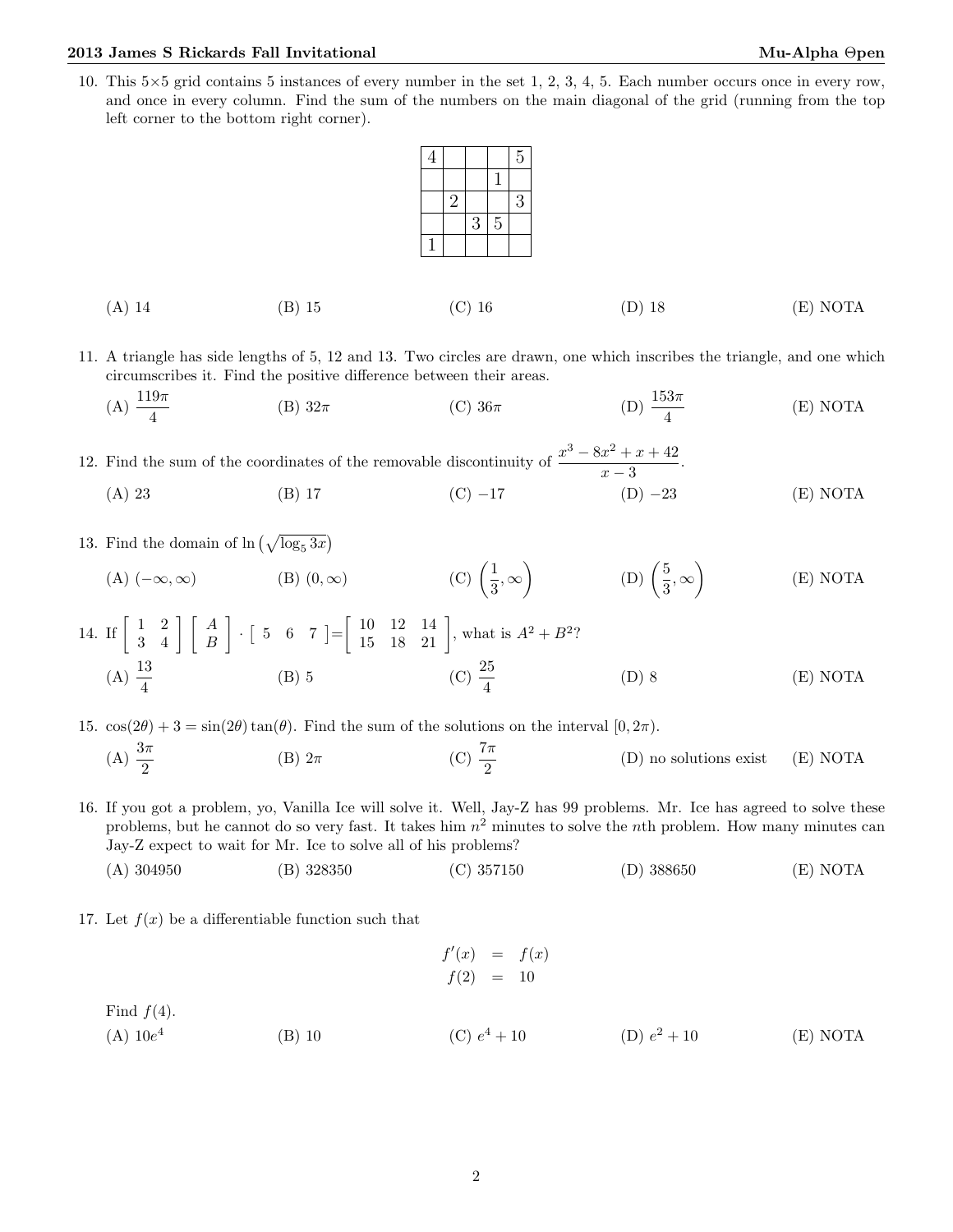10. This  $5\times5$  grid contains 5 instances of every number in the set 1, 2, 3, 4, 5. Each number occurs once in every row, and once in every column. Find the sum of the numbers on the main diagonal of the grid (running from the top left corner to the bottom right corner).

|          |          | $\overline{5}$<br>4 |          |          |
|----------|----------|---------------------|----------|----------|
|          |          | $\left  \right $    |          |          |
|          |          | 3<br>$\overline{2}$ |          |          |
|          |          | $\overline{5}$<br>3 |          |          |
|          |          | $\mathbf{1}$        |          |          |
|          |          |                     |          |          |
|          |          |                     |          |          |
| $(A)$ 14 | $(B)$ 15 | $(C)$ 16            | $(D)$ 18 | (E) NOTA |
|          |          |                     |          |          |

11. A triangle has side lengths of 5, 12 and 13. Two circles are drawn, one which inscribes the triangle, and one which circumscribes it. Find the positive difference between their areas.

(A) 
$$
\frac{119\pi}{4}
$$
 \t\t (B)  $32\pi$  \t\t (C)  $36\pi$  \t\t (D)  $\frac{153\pi}{4}$  \t\t (E) NOTA

12. Find the sum of the coordinates of the removable discontinuity of  $\frac{x^3 - 8x^2 + x + 42}{9}$  $\frac{x}{x-3}$ . (A) 23 (B) 17 (C) −17 (D) −23 (E) NOTA

13. Find the domain of  $\ln\left(\sqrt{\log_5 3x}\right)$ 

(A) 
$$
(-\infty, \infty)
$$
 \t\t (B)  $(0, \infty)$  \t\t (C)  $\left(\frac{1}{3}, \infty\right)$  \t\t (D)  $\left(\frac{5}{3}, \infty\right)$  \t\t (E) NOTA

14. If  $\begin{bmatrix} 1 & 2 \\ 3 & 4 \end{bmatrix} \begin{bmatrix} A \\ B \end{bmatrix}$  $\begin{bmatrix} 5 & 6 & 7 \end{bmatrix} = \begin{bmatrix} 10 & 12 & 14 \ 15 & 18 & 21 \end{bmatrix}$ , what is  $A^2 + B^2$ ? (A)  $\frac{13}{4}$ (B) 5 (C)  $\frac{25}{4}$ (D) 8 (E) NOTA

15.  $\cos(2\theta) + 3 = \sin(2\theta) \tan(\theta)$ . Find the sum of the solutions on the interval  $[0, 2\pi)$ .

- (A)  $\frac{3\pi}{2}$ (B)  $2\pi$  (C)  $\frac{7\pi}{2}$ (D) no solutions exist (E) NOTA
- 16. If you got a problem, yo, Vanilla Ice will solve it. Well, Jay-Z has 99 problems. Mr. Ice has agreed to solve these problems, but he cannot do so very fast. It takes him  $n^2$  minutes to solve the nth problem. How many minutes can Jay-Z expect to wait for Mr. Ice to solve all of his problems?

(A) 304950 (B) 328350 (C) 357150 (D) 388650 (E) NOTA

17. Let  $f(x)$  be a differentiable function such that

$$
f'(x) = f(x)
$$
  
\n
$$
f(2) = 10
$$
  
\nFind  $f(4)$ .  
\n(A)  $10e^4$  (B) 10 (C)  $e^4 + 10$  (D)  $e^2 + 10$  (E) NOTA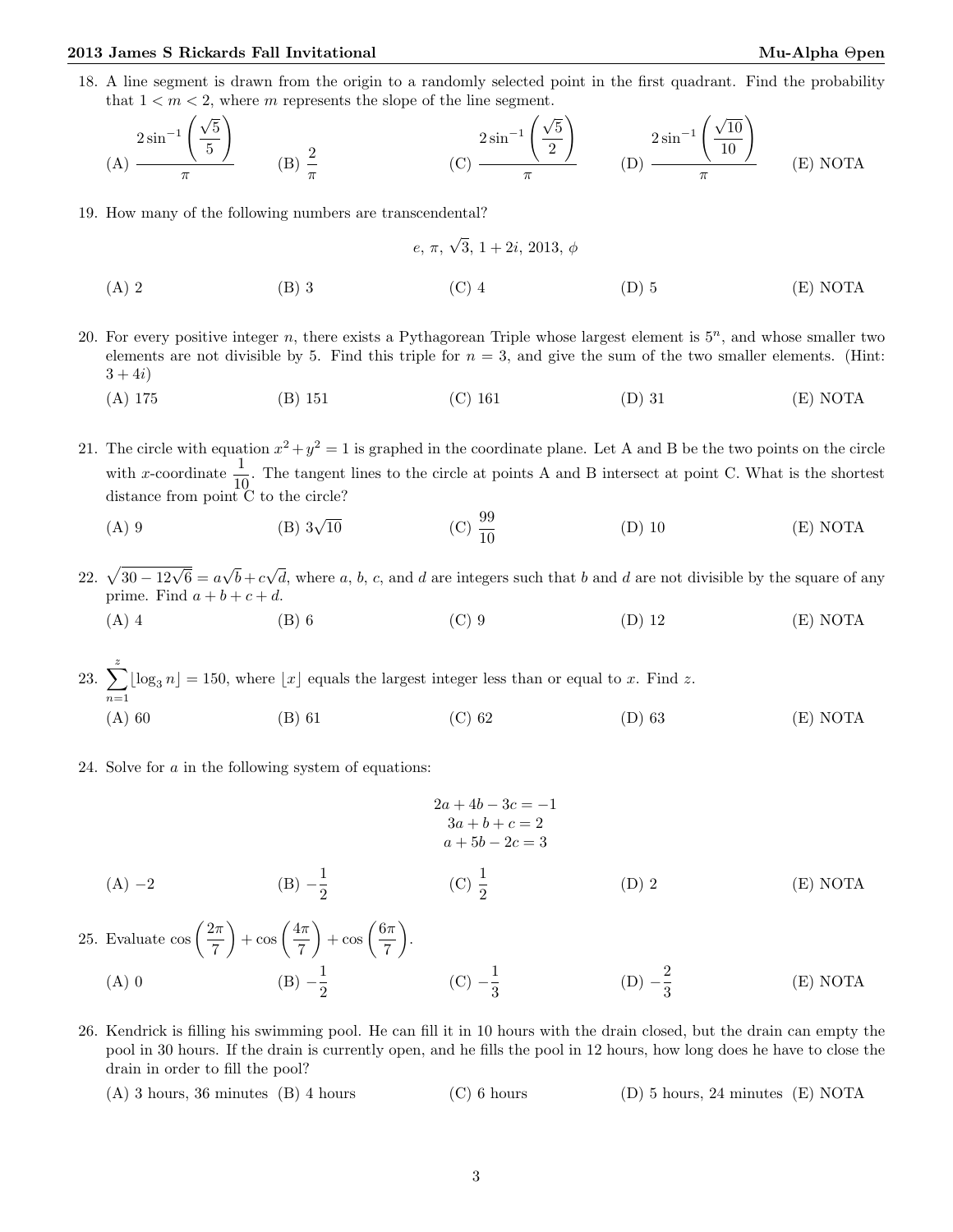18. A line segment is drawn from the origin to a randomly selected point in the first quadrant. Find the probability that  $1 < m < 2$ , where m represents the slope of the line segment.

$$
(A) \frac{2\sin^{-1}\left(\frac{\sqrt{5}}{5}\right)}{\pi}
$$
\n
$$
(B) \frac{2}{\pi}
$$
\n
$$
(C) \frac{2\sin^{-1}\left(\frac{\sqrt{5}}{2}\right)}{\pi}
$$
\n
$$
(D) \frac{2\sin^{-1}\left(\frac{\sqrt{10}}{10}\right)}{\pi}
$$
\n
$$
(E) NOTA
$$

19. How many of the following numbers are transcendental?

e, π, <sup>√</sup> 3, 1 + 2i, 2013, φ (A) 2 (B) 3 (C) 4 (D) 5 (E) NOTA

- 20. For every positive integer n, there exists a Pythagorean Triple whose largest element is  $5<sup>n</sup>$ , and whose smaller two elements are not divisible by 5. Find this triple for  $n = 3$ , and give the sum of the two smaller elements. (Hint:  $3 + 4i$ 
	- (A) 175 (B) 151 (C) 161 (D) 31 (E) NOTA
- 21. The circle with equation  $x^2 + y^2 = 1$  is graphed in the coordinate plane. Let A and B be the two points on the circle with x-coordinate  $\frac{1}{10}$ . The tangent lines to the circle at points A and B intersect at point C. What is the shortest distance from point  $\check{C}$  to the circle?
	- (A) 9 (B)  $3\sqrt{10}$  $\overline{10}$  (C)  $\frac{99}{10}$ (D) 10 (E) NOTA
- 22.  $\sqrt{30 12\sqrt{6}} = a$ √  $b+c$ √ d, where a, b, c, and d are integers such that b and d are not divisible by the square of any prime. Find  $a + b + c + d$ .
	- (A) 4 (B) 6 (C) 9 (D) 12 (E) NOTA

23.  $\sum_{i=1}^{z}$  $n=1$  $\lfloor \log_3 n \rfloor = 150$ , where  $\lfloor x \rfloor$  equals the largest integer less than or equal to x. Find z. (A) 60 (B) 61 (C) 62 (D) 63 (E) NOTA

24. Solve for a in the following system of equations:

$$
2a + 4b - 3c = -1
$$
  
\n
$$
3a + b + c = 2
$$
  
\n
$$
a + 5b - 2c = 3
$$
  
\n(A) -2  
\n(B) - $\frac{1}{2}$   
\n(C)  $\frac{1}{2}$   
\n(D) 2  
\n(E) NOTA  
\nE)

#### 25. Evaluate  $\cos\left(\frac{2\pi}{7}\right)$ 7  $+\cos\left(\frac{4\pi}{7}\right)$ 7  $+\cos\left(\frac{6\pi}{7}\right)$ 7 . (A) 0 (B)  $-\frac{1}{2}$  $\frac{1}{2}$  (C)  $-\frac{1}{3}$ 3  $(D) - \frac{2}{3}$ 3 (E) NOTA

- 26. Kendrick is filling his swimming pool. He can fill it in 10 hours with the drain closed, but the drain can empty the pool in 30 hours. If the drain is currently open, and he fills the pool in 12 hours, how long does he have to close the drain in order to fill the pool?
	- (A) 3 hours, 36 minutes (B) 4 hours (C) 6 hours (D) 5 hours, 24 minutes (E) NOTA